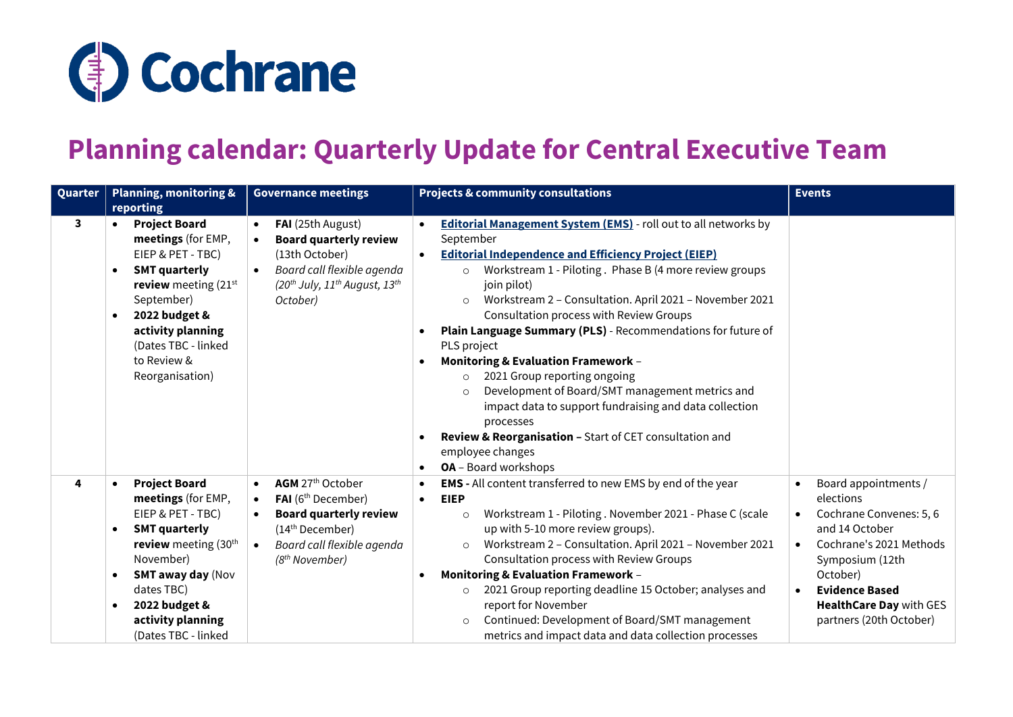

## **Planning calendar: Quarterly Update for Central Executive Team**

| Quarter |                                     | <b>Planning, monitoring &amp;</b>                                                                                                                                                                                                     | <b>Governance meetings</b>                                                                                                                                                                                                         |                        | <b>Projects &amp; community consultations</b>                                                                                                                                                                                                                                                                                                                                                                                                                                                                                                                                                                                                                                                                                                                                          | <b>Events</b>                                                                                                                                                                                                                  |
|---------|-------------------------------------|---------------------------------------------------------------------------------------------------------------------------------------------------------------------------------------------------------------------------------------|------------------------------------------------------------------------------------------------------------------------------------------------------------------------------------------------------------------------------------|------------------------|----------------------------------------------------------------------------------------------------------------------------------------------------------------------------------------------------------------------------------------------------------------------------------------------------------------------------------------------------------------------------------------------------------------------------------------------------------------------------------------------------------------------------------------------------------------------------------------------------------------------------------------------------------------------------------------------------------------------------------------------------------------------------------------|--------------------------------------------------------------------------------------------------------------------------------------------------------------------------------------------------------------------------------|
|         |                                     | reporting                                                                                                                                                                                                                             |                                                                                                                                                                                                                                    |                        |                                                                                                                                                                                                                                                                                                                                                                                                                                                                                                                                                                                                                                                                                                                                                                                        |                                                                                                                                                                                                                                |
| 3       | $\bullet$<br>$\bullet$<br>$\bullet$ | <b>Project Board</b><br>meetings (for EMP,<br>EIEP & PET - TBC)<br><b>SMT quarterly</b><br>review meeting $(21st)$<br>September)<br>2022 budget &<br>activity planning<br>(Dates TBC - linked<br>to Review &<br>Reorganisation)       | FAI (25th August)<br>$\bullet$<br><b>Board quarterly review</b><br>$\bullet$<br>(13th October)<br>Board call flexible agenda<br>$\bullet$<br>(20 <sup>th</sup> July, 11 <sup>th</sup> August, 13 <sup>th</sup><br>October)         | $\bullet$              | <b>Editorial Management System (EMS)</b> - roll out to all networks by<br>September<br><b>Editorial Independence and Efficiency Project (EIEP)</b><br>Workstream 1 - Piloting. Phase B (4 more review groups<br>$\circ$<br>join pilot)<br>Workstream 2 - Consultation. April 2021 - November 2021<br>$\circ$<br>Consultation process with Review Groups<br>Plain Language Summary (PLS) - Recommendations for future of<br>PLS project<br><b>Monitoring &amp; Evaluation Framework -</b><br>2021 Group reporting ongoing<br>$\circ$<br>Development of Board/SMT management metrics and<br>$\circ$<br>impact data to support fundraising and data collection<br>processes<br>Review & Reorganisation - Start of CET consultation and<br>employee changes<br><b>OA</b> - Board workshops |                                                                                                                                                                                                                                |
| 4       | $\bullet$<br>$\bullet$<br>$\bullet$ | <b>Project Board</b><br>meetings (for EMP,<br>EIEP & PET - TBC)<br><b>SMT quarterly</b><br>review meeting $(30th$<br>November)<br><b>SMT away day (Nov</b><br>dates TBC)<br>2022 budget &<br>activity planning<br>(Dates TBC - linked | AGM 27th October<br>$\bullet$<br>FAI (6 <sup>th</sup> December)<br>$\bullet$<br><b>Board quarterly review</b><br>$\bullet$<br>(14 <sup>th</sup> December)<br>Board call flexible agenda<br>$\bullet$<br>(8 <sup>th</sup> November) | $\bullet$<br>$\bullet$ | <b>EMS</b> - All content transferred to new EMS by end of the year<br><b>EIEP</b><br>Workstream 1 - Piloting. November 2021 - Phase C (scale<br>$\circ$<br>up with 5-10 more review groups).<br>Workstream 2 - Consultation. April 2021 - November 2021<br>$\circ$<br>Consultation process with Review Groups<br><b>Monitoring &amp; Evaluation Framework -</b><br>2021 Group reporting deadline 15 October; analyses and<br>$\circ$<br>report for November<br>Continued: Development of Board/SMT management<br>$\circ$<br>metrics and impact data and data collection processes                                                                                                                                                                                                      | Board appointments /<br>elections<br>Cochrane Convenes: 5, 6<br>and 14 October<br>Cochrane's 2021 Methods<br>Symposium (12th<br>October)<br><b>Evidence Based</b><br><b>HealthCare Day with GES</b><br>partners (20th October) |